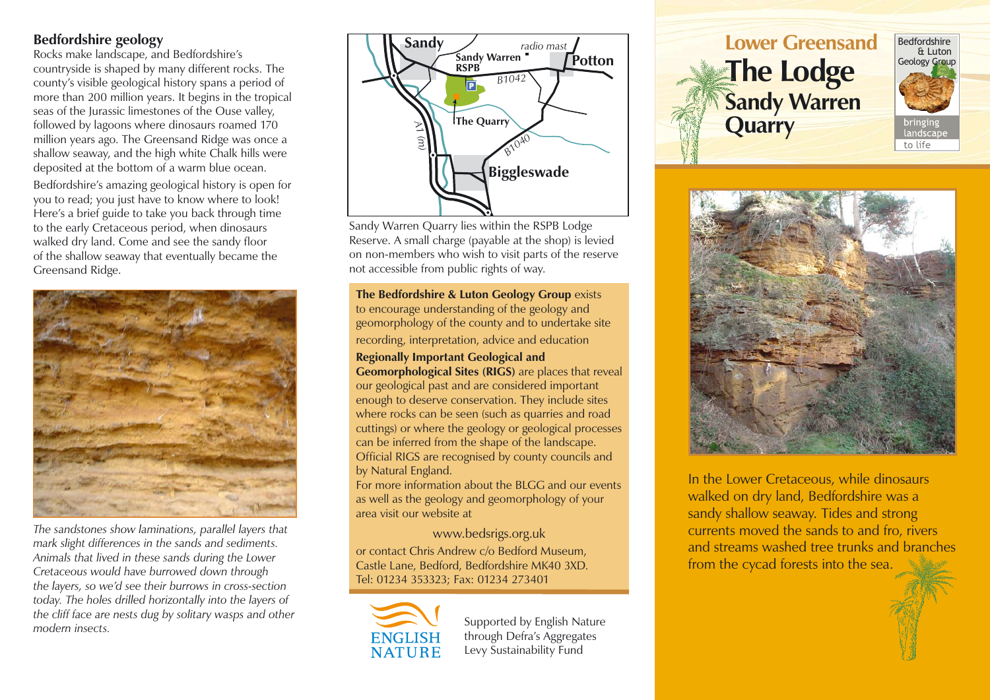## **Bedfordshire geology**

Rocks make landscape, and Bedfordshire's countryside is shaped by many different rocks. The county's visible geological history spans a period of more than 200 million years. It begins in the tropical seas of the Jurassic limestones of the Ouse valley, followed by lagoons where dinosaurs roamed 170 million years ago. The Greensand Ridge was once a shallow seaway, and the high white Chalk hills were deposited at the bottom of a warm blue ocean.

Bedfordshire's amazing geological history is open for you to read; you just have to know where to look! Here's a brief guide to take you back through time to the early Cretaceous period, when dinosaurs walked dry land. Come and see the sandy floor of the shallow seaway that eventually became the Greensand Ridge.



*The sandstones show laminations, parallel layers that mark slight differences in the sands and sediments. Animals that lived in these sands during the Lower Cretaceous would have burrowed down through the layers, so we'd see their burrows in cross-section today. The holes drilled horizontally into the layers of the cliff face are nests dug by solitary wasps and other modern insects.*



Sandy Warren Quarry lies within the RSPB Lodge Reserve. A small charge (payable at the shop) is levied on non-members who wish to visit parts of the reserve not accessible from public rights of way.

**The Bedfordshire & Luton Geology Group** exists to encourage understanding of the geology and geomorphology of the county and to undertake site recording, interpretation, advice and education

**Regionally Important Geological and Geomorphological Sites (RIGS)** are places that reveal our geological past and are considered important enough to deserve conservation. They include sites where rocks can be seen (such as quarries and road cuttings) or where the geology or geological processes can be inferred from the shape of the landscape. Official RIGS are recognised by county councils and by Natural England.

For more information about the BLGG and our events as well as the geology and geomorphology of your area visit our website at

www.bedsrigs.org.uk

or contact Chris Andrew c/o Bedford Museum, Castle Lane, Bedford, Bedfordshire MK40 3XD. Tel: 01234 353323; Fax: 01234 273401

ENGLISH NATURE

Supported by English Nature through Defra's Aggregates Levy Sustainability Fund







In the Lower Cretaceous, while dinosaurs walked on dry land, Bedfordshire was a sandy shallow seaway. Tides and strong currents moved the sands to and fro, rivers and streams washed tree trunks and branches from the cycad forests into the sea.